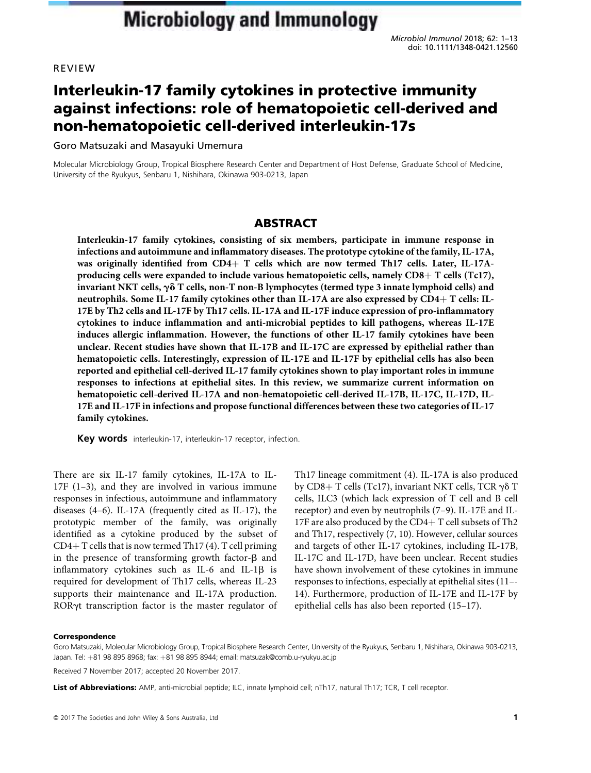Microbiol Immunol 2018; 62: 1–13 doi: 10.1111/1348-0421.12560

# REVIEW

# Interleukin-17 family cytokines in protective immunity against infections: role of hematopoietic cell-derived and non-hematopoietic cell-derived interleukin-17s

Goro Matsuzaki and Masayuki Umemura

Molecular Microbiology Group, Tropical Biosphere Research Center and Department of Host Defense, Graduate School of Medicine, University of the Ryukyus, Senbaru 1, Nishihara, Okinawa 903-0213, Japan

# **ABSTRACT**

Interleukin-17 family cytokines, consisting of six members, participate in immune response in infections and autoimmune and inflammatory diseases. The prototype cytokine of the family, IL-17A, was originally identified from  $CD4+T$  cells which are now termed Th17 cells. Later, IL-17Aproducing cells were expanded to include various hematopoietic cells, namely  $CD8+T$  cells (Tc17), invariant NKT cells,  $\gamma \delta$  T cells, non-T non-B lymphocytes (termed type 3 innate lymphoid cells) and neutrophils. Some IL-17 family cytokines other than IL-17A are also expressed by CD4+ T cells: IL-17E by Th2 cells and IL-17F by Th17 cells. IL-17A and IL-17F induce expression of pro-inflammatory cytokines to induce inflammation and anti-microbial peptides to kill pathogens, whereas IL-17E induces allergic inflammation. However, the functions of other IL-17 family cytokines have been unclear. Recent studies have shown that IL-17B and IL-17C are expressed by epithelial rather than hematopoietic cells. Interestingly, expression of IL-17E and IL-17F by epithelial cells has also been reported and epithelial cell-derived IL-17 family cytokines shown to play important roles in immune responses to infections at epithelial sites. In this review, we summarize current information on hematopoietic cell-derived IL-17A and non-hematopoietic cell-derived IL-17B, IL-17C, IL-17D, IL-17E and IL-17F in infections and propose functional differences between these two categories of IL-17 family cytokines.

Key words interleukin-17, interleukin-17 receptor, infection.

There are six IL-17 family cytokines, IL-17A to IL-17F (1–3), and they are involved in various immune responses in infectious, autoimmune and inflammatory diseases (4–6). IL-17A (frequently cited as IL-17), the prototypic member of the family, was originally identified as a cytokine produced by the subset of CD4+T cells that is now termed Th17 (4). T cell priming in the presence of transforming growth factor- $\beta$  and inflammatory cytokines such as IL-6 and IL-1 $\beta$  is required for development of Th17 cells, whereas IL-23 supports their maintenance and IL-17A production. ROR $\gamma$ t transcription factor is the master regulator of

Th17 lineage commitment (4). IL-17A is also produced by CD8+ T cells (Tc17), invariant NKT cells, TCR  $\gamma\delta$  T cells, ILC3 (which lack expression of T cell and B cell receptor) and even by neutrophils (7–9). IL-17E and IL-17F are also produced by the  $CD4+T$  cell subsets of Th2 and Th17, respectively (7, 10). However, cellular sources and targets of other IL-17 cytokines, including IL-17B, IL-17C and IL-17D, have been unclear. Recent studies have shown involvement of these cytokines in immune responses to infections, especially at epithelial sites (11–- 14). Furthermore, production of IL-17E and IL-17F by epithelial cells has also been reported (15–17).

#### **Correspondence**

Goro Matsuzaki, Molecular Microbiology Group, Tropical Biosphere Research Center, University of the Ryukyus, Senbaru 1, Nishihara, Okinawa 903-0213, Japan. Tel: +81 98 895 8968; fax: +81 98 895 8944; email: matsuzak@comb.u-ryukyu.ac.jp

Received 7 November 2017; accepted 20 November 2017.

List of Abbreviations: AMP, anti-microbial peptide; ILC, innate lymphoid cell; nTh17, natural Th17; TCR, T cell receptor.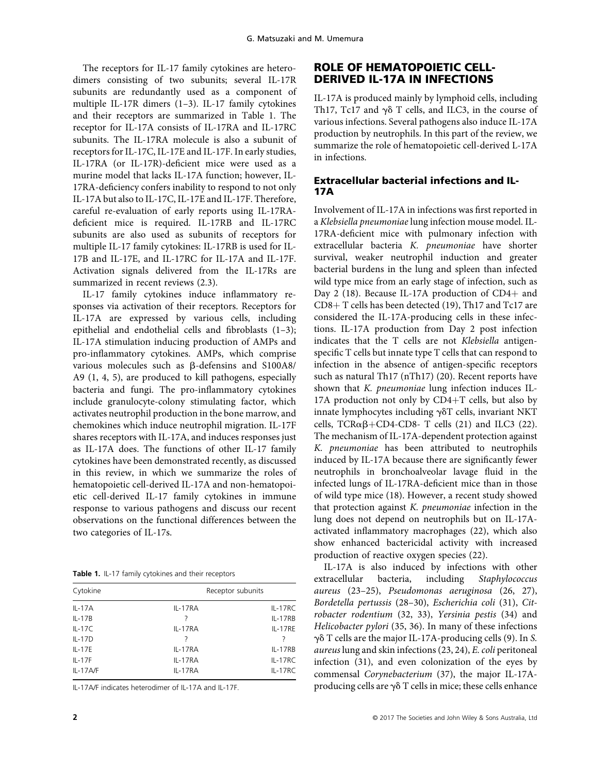The receptors for IL-17 family cytokines are heterodimers consisting of two subunits; several IL-17R subunits are redundantly used as a component of multiple IL-17R dimers (1–3). IL-17 family cytokines and their receptors are summarized in Table 1. The receptor for IL-17A consists of IL-17RA and IL-17RC subunits. The IL-17RA molecule is also a subunit of receptors for IL-17C, IL-17E and IL-17F. In early studies, IL-17RA (or IL-17R)-deficient mice were used as a murine model that lacks IL-17A function; however, IL-17RA-deficiency confers inability to respond to not only IL-17A but also to IL-17C, IL-17E and IL-17F. Therefore, careful re-evaluation of early reports using IL-17RAdeficient mice is required. IL-17RB and IL-17RC subunits are also used as subunits of receptors for multiple IL-17 family cytokines: IL-17RB is used for IL-17B and IL-17E, and IL-17RC for IL-17A and IL-17F. Activation signals delivered from the IL-17Rs are summarized in recent reviews (2.3).

IL-17 family cytokines induce inflammatory responses via activation of their receptors. Receptors for IL-17A are expressed by various cells, including epithelial and endothelial cells and fibroblasts (1–3); IL-17A stimulation inducing production of AMPs and pro-inflammatory cytokines. AMPs, which comprise various molecules such as  $\beta$ -defensins and S100A8/ A9 (1, 4, 5), are produced to kill pathogens, especially bacteria and fungi. The pro-inflammatory cytokines include granulocyte-colony stimulating factor, which activates neutrophil production in the bone marrow, and chemokines which induce neutrophil migration. IL-17F shares receptors with IL-17A, and induces responses just as IL-17A does. The functions of other IL-17 family cytokines have been demonstrated recently, as discussed in this review, in which we summarize the roles of hematopoietic cell-derived IL-17A and non-hematopoietic cell-derived IL-17 family cytokines in immune response to various pathogens and discuss our recent observations on the functional differences between the two categories of IL-17s.

Table 1. IL-17 family cytokines and their receptors

| Cytokine   | Receptor subunits |           |
|------------|-------------------|-----------|
| $IL-17A$   | IL-17RA           | IL-17RC   |
| $IL-17B$   | ?                 | $IL-17RB$ |
| $IL-17C$   | IL-17RA           | IL-17RE   |
| $IL-17D$   |                   |           |
| $IL-17E$   | IL-17RA           | IL-17RB   |
| $IL-17F$   | IL-17RA           | IL-17RC   |
| $IL-17AYF$ | IL-17RA           | IL-17RC   |
|            |                   |           |

IL-17A/F indicates heterodimer of IL-17A and IL-17F.

# ROLE OF HEMATOPOIETIC CELL-DERIVED IL-17A IN INFECTIONS

IL-17A is produced mainly by lymphoid cells, including Th17, Tc17 and  $\gamma\delta$  T cells, and ILC3, in the course of various infections. Several pathogens also induce IL-17A production by neutrophils. In this part of the review, we summarize the role of hematopoietic cell-derived L-17A in infections.

## Extracellular bacterial infections and IL-17A

Involvement of IL-17A in infections was first reported in a Klebsiella pneumoniae lung infection mouse model. IL-17RA-deficient mice with pulmonary infection with extracellular bacteria K. pneumoniae have shorter survival, weaker neutrophil induction and greater bacterial burdens in the lung and spleen than infected wild type mice from an early stage of infection, such as Day 2 (18). Because IL-17A production of CD4+ and  $CD8 + T$  cells has been detected (19), Th17 and Tc17 are considered the IL-17A-producing cells in these infections. IL-17A production from Day 2 post infection indicates that the T cells are not Klebsiella antigenspecific T cells but innate type T cells that can respond to infection in the absence of antigen-specific receptors such as natural Th17 (nTh17) (20). Recent reports have shown that K. pneumoniae lung infection induces IL-17A production not only by  $CD4+T$  cells, but also by innate lymphocytes including  $\gamma \delta T$  cells, invariant NKT cells, TCR $\alpha\beta$ +CD4-CD8- T cells (21) and ILC3 (22). The mechanism of IL-17A-dependent protection against K. pneumoniae has been attributed to neutrophils induced by IL-17A because there are significantly fewer neutrophils in bronchoalveolar lavage fluid in the infected lungs of IL-17RA-deficient mice than in those of wild type mice (18). However, a recent study showed that protection against K. pneumoniae infection in the lung does not depend on neutrophils but on IL-17Aactivated inflammatory macrophages (22), which also show enhanced bactericidal activity with increased production of reactive oxygen species (22).

IL-17A is also induced by infections with other extracellular bacteria, including Staphylococcus aureus (23–25), Pseudomonas aeruginosa (26, 27), Bordetella pertussis (28–30), Escherichia coli (31), Citrobacter rodentium (32, 33), Yersinia pestis (34) and Helicobacter pylori (35, 36). In many of these infections  $\gamma\delta$  T cells are the major IL-17A-producing cells (9). In S. aureus lung and skin infections (23, 24), E. coli peritoneal infection (31), and even colonization of the eyes by commensal Corynebacterium (37), the major IL-17Aproducing cells are  $\gamma\delta$  T cells in mice; these cells enhance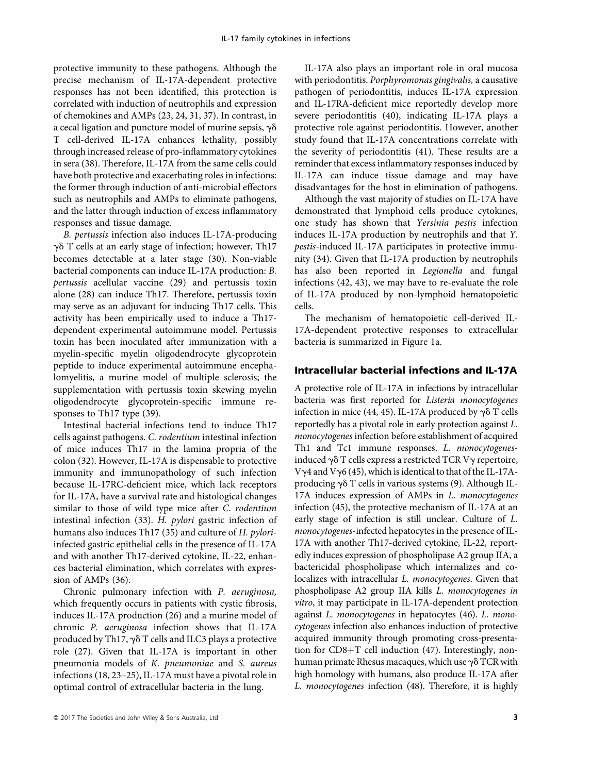protective immunity to these pathogens. Although the precise mechanism of IL-17A-dependent protective responses has not been identified, this protection is correlated with induction of neutrophils and expression of chemokines and AMPs (23, 24, 31, 37). In contrast, in a cecal ligation and puncture model of murine sepsis,  $\gamma\delta$ T cell-derived IL-17A enhances lethality, possibly through increased release of pro-inflammatory cytokines in sera (38). Therefore, IL-17A from the same cells could have both protective and exacerbating roles in infections: the former through induction of anti-microbial effectors such as neutrophils and AMPs to eliminate pathogens, and the latter through induction of excess inflammatory responses and tissue damage.

B. pertussis infection also induces IL-17A-producing  $\gamma\delta$  T cells at an early stage of infection; however, Th17 becomes detectable at a later stage (30). Non-viable bacterial components can induce IL-17A production: B. pertussis acellular vaccine (29) and pertussis toxin alone (28) can induce Th17. Therefore, pertussis toxin may serve as an adjuvant for inducing Th17 cells. This activity has been empirically used to induce a Th17 dependent experimental autoimmune model. Pertussis toxin has been inoculated after immunization with a myelin-specific myelin oligodendrocyte glycoprotein peptide to induce experimental autoimmune encephalomyelitis, a murine model of multiple sclerosis; the supplementation with pertussis toxin skewing myelin oligodendrocyte glycoprotein-specific immune responses to Th17 type (39).

Intestinal bacterial infections tend to induce Th17 cells against pathogens. C. rodentium intestinal infection of mice induces Th17 in the lamina propria of the colon (32). However, IL-17A is dispensable to protective immunity and immunopathology of such infection because IL-17RC-deficient mice, which lack receptors for IL-17A, have a survival rate and histological changes similar to those of wild type mice after C. rodentium intestinal infection (33). H. pylori gastric infection of humans also induces Th17 (35) and culture of H. pyloriinfected gastric epithelial cells in the presence of IL-17A and with another Th17-derived cytokine, IL-22, enhances bacterial elimination, which correlates with expression of AMPs (36).

Chronic pulmonary infection with P. aeruginosa, which frequently occurs in patients with cystic fibrosis, induces IL-17A production (26) and a murine model of chronic P. aeruginosa infection shows that IL-17A produced by Th17,  $\gamma\delta$  T cells and ILC3 plays a protective role (27). Given that IL-17A is important in other pneumonia models of K. pneumoniae and S. aureus infections (18, 23–25), IL-17A must have a pivotal role in optimal control of extracellular bacteria in the lung.

IL-17A also plays an important role in oral mucosa with periodontitis. Porphyromonas gingivalis, a causative pathogen of periodontitis, induces IL-17A expression and IL-17RA-deficient mice reportedly develop more severe periodontitis (40), indicating IL-17A plays a protective role against periodontitis. However, another study found that IL-17A concentrations correlate with the severity of periodontitis (41). These results are a reminder that excess inflammatory responses induced by IL-17A can induce tissue damage and may have disadvantages for the host in elimination of pathogens.

Although the vast majority of studies on IL-17A have demonstrated that lymphoid cells produce cytokines, one study has shown that Yersinia pestis infection induces IL-17A production by neutrophils and that Y. pestis-induced IL-17A participates in protective immunity (34). Given that IL-17A production by neutrophils has also been reported in Legionella and fungal infections (42, 43), we may have to re-evaluate the role of IL-17A produced by non-lymphoid hematopoietic cells.

The mechanism of hematopoietic cell-derived IL-17A-dependent protective responses to extracellular bacteria is summarized in Figure 1a.

# Intracellular bacterial infections and IL-17A

A protective role of IL-17A in infections by intracellular bacteria was first reported for Listeria monocytogenes infection in mice (44, 45). IL-17A produced by  $\gamma\delta$  T cells reportedly has a pivotal role in early protection against L. monocytogenes infection before establishment of acquired Th1 and Tc1 immune responses. L. monocytogenesinduced  $\gamma \delta$  T cells express a restricted TCR V $\gamma$  repertoire, V $\gamma$ 4 and V $\gamma$ 6 (45), which is identical to that of the IL-17Aproducing  $\gamma \delta$  T cells in various systems (9). Although IL-17A induces expression of AMPs in L. monocytogenes infection (45), the protective mechanism of IL-17A at an early stage of infection is still unclear. Culture of L. monocytogenes-infected hepatocytes in the presence of IL-17A with another Th17-derived cytokine, IL-22, reportedly induces expression of phospholipase A2 group IIA, a bactericidal phospholipase which internalizes and colocalizes with intracellular L. monocytogenes. Given that phospholipase A2 group IIA kills L. monocytogenes in vitro, it may participate in IL-17A-dependent protection against L. monocytogenes in hepatocytes (46). L. monocytogenes infection also enhances induction of protective acquired immunity through promoting cross-presentation for  $CD8+T$  cell induction (47). Interestingly, nonhuman primate Rhesus macaques, which use  $\gamma\delta$  TCR with high homology with humans, also produce IL-17A after L. monocytogenes infection (48). Therefore, it is highly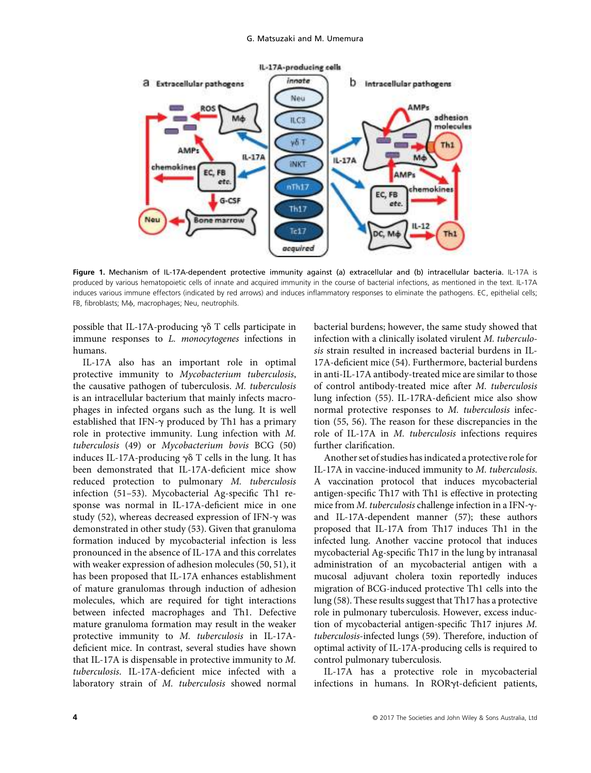

Figure 1. Mechanism of IL-17A-dependent protective immunity against (a) extracellular and (b) intracellular bacteria. IL-17A is produced by various hematopoietic cells of innate and acquired immunity in the course of bacterial infections, as mentioned in the text. IL-17A induces various immune effectors (indicated by red arrows) and induces inflammatory responses to eliminate the pathogens. EC, epithelial cells; FB, fibroblasts; Μφ, macrophages; Neu, neutrophils.

possible that IL-17A-producing  $\gamma \delta$  T cells participate in immune responses to L. monocytogenes infections in humans.

IL-17A also has an important role in optimal protective immunity to Mycobacterium tuberculosis, the causative pathogen of tuberculosis. M. tuberculosis is an intracellular bacterium that mainly infects macrophages in infected organs such as the lung. It is well established that IFN- $\gamma$  produced by Th1 has a primary role in protective immunity. Lung infection with M. tuberculosis (49) or Mycobacterium bovis BCG (50) induces IL-17A-producing  $\gamma\delta$  T cells in the lung. It has been demonstrated that IL-17A-deficient mice show reduced protection to pulmonary M. tuberculosis infection (51–53). Mycobacterial Ag-specific Th1 response was normal in IL-17A-deficient mice in one study (52), whereas decreased expression of IFN- $\gamma$  was demonstrated in other study (53). Given that granuloma formation induced by mycobacterial infection is less pronounced in the absence of IL-17A and this correlates with weaker expression of adhesion molecules (50, 51), it has been proposed that IL-17A enhances establishment of mature granulomas through induction of adhesion molecules, which are required for tight interactions between infected macrophages and Th1. Defective mature granuloma formation may result in the weaker protective immunity to M. tuberculosis in IL-17Adeficient mice. In contrast, several studies have shown that IL-17A is dispensable in protective immunity to M. tuberculosis. IL-17A-deficient mice infected with a laboratory strain of M. tuberculosis showed normal bacterial burdens; however, the same study showed that infection with a clinically isolated virulent M. tuberculosis strain resulted in increased bacterial burdens in IL-17A-deficient mice (54). Furthermore, bacterial burdens in anti-IL-17A antibody-treated mice are similar to those of control antibody-treated mice after M. tuberculosis lung infection (55). IL-17RA-deficient mice also show normal protective responses to M. tuberculosis infection (55, 56). The reason for these discrepancies in the role of IL-17A in M. tuberculosis infections requires further clarification.

Another set of studies has indicated a protective role for IL-17A in vaccine-induced immunity to M. tuberculosis. A vaccination protocol that induces mycobacterial antigen-specific Th17 with Th1 is effective in protecting mice from  $M$ . tuberculosis challenge infection in a IFN- $\gamma$ and IL-17A-dependent manner (57); these authors proposed that IL-17A from Th17 induces Th1 in the infected lung. Another vaccine protocol that induces mycobacterial Ag-specific Th17 in the lung by intranasal administration of an mycobacterial antigen with a mucosal adjuvant cholera toxin reportedly induces migration of BCG-induced protective Th1 cells into the lung (58). These results suggest that Th17 has a protective role in pulmonary tuberculosis. However, excess induction of mycobacterial antigen-specific Th17 injures M. tuberculosis-infected lungs (59). Therefore, induction of optimal activity of IL-17A-producing cells is required to control pulmonary tuberculosis.

IL-17A has a protective role in mycobacterial infections in humans. In RORgt-deficient patients,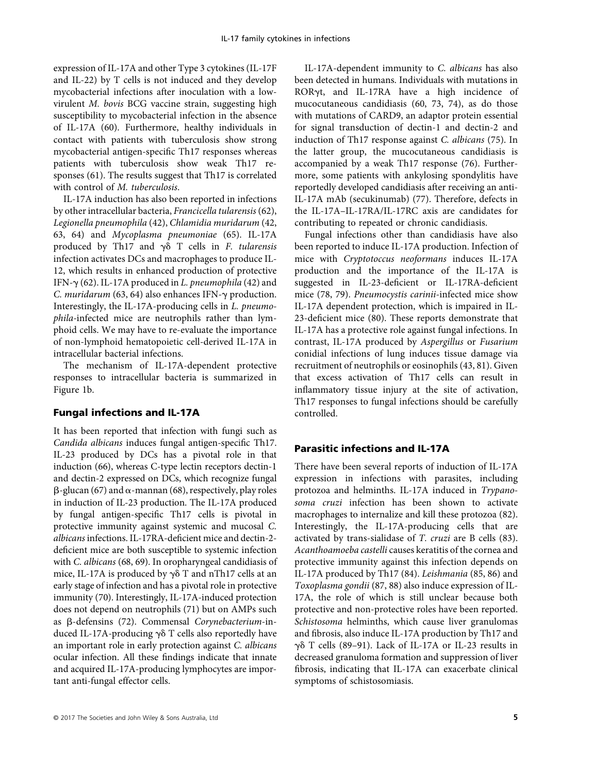expression of IL-17A and other Type 3 cytokines (IL-17F and IL-22) by T cells is not induced and they develop mycobacterial infections after inoculation with a lowvirulent M. bovis BCG vaccine strain, suggesting high susceptibility to mycobacterial infection in the absence of IL-17A (60). Furthermore, healthy individuals in contact with patients with tuberculosis show strong mycobacterial antigen-specific Th17 responses whereas patients with tuberculosis show weak Th17 responses (61). The results suggest that Th17 is correlated with control of M. tuberculosis.

IL-17A induction has also been reported in infections by other intracellular bacteria, Francicella tularensis (62), Legionella pneumophila (42), Chlamidia muridarum (42, 63, 64) and Mycoplasma pneumoniae (65). IL-17A produced by Th17 and  $\gamma\delta$  T cells in F. tularensis infection activates DCs and macrophages to produce IL-12, which results in enhanced production of protective IFN- $\gamma$  (62). IL-17A produced in *L. pneumophila* (42) and C. muridarum (63, 64) also enhances IFN- $\gamma$  production. Interestingly, the IL-17A-producing cells in L. pneumophila-infected mice are neutrophils rather than lymphoid cells. We may have to re-evaluate the importance of non-lymphoid hematopoietic cell-derived IL-17A in intracellular bacterial infections.

The mechanism of IL-17A-dependent protective responses to intracellular bacteria is summarized in Figure 1b.

#### Fungal infections and IL-17A

It has been reported that infection with fungi such as Candida albicans induces fungal antigen-specific Th17. IL-23 produced by DCs has a pivotal role in that induction (66), whereas C-type lectin receptors dectin-1 and dectin-2 expressed on DCs, which recognize fungal  $\beta$ -glucan (67) and  $\alpha$ -mannan (68), respectively, play roles in induction of IL-23 production. The IL-17A produced by fungal antigen-specific Th17 cells is pivotal in protective immunity against systemic and mucosal C. albicans infections. IL-17RA-deficient mice and dectin-2 deficient mice are both susceptible to systemic infection with C. albicans (68, 69). In oropharyngeal candidiasis of mice, IL-17A is produced by  $\gamma\delta$  T and nTh17 cells at an early stage of infection and has a pivotal role in protective immunity (70). Interestingly, IL-17A-induced protection does not depend on neutrophils (71) but on AMPs such as b-defensins (72). Commensal Corynebacterium-induced IL-17A-producing  $\gamma\delta$  T cells also reportedly have an important role in early protection against C. albicans ocular infection. All these findings indicate that innate and acquired IL-17A-producing lymphocytes are important anti-fungal effector cells.

IL-17A-dependent immunity to C. albicans has also been detected in humans. Individuals with mutations in RORyt, and IL-17RA have a high incidence of mucocutaneous candidiasis (60, 73, 74), as do those with mutations of CARD9, an adaptor protein essential for signal transduction of dectin-1 and dectin-2 and induction of Th17 response against C. albicans (75). In the latter group, the mucocutaneous candidiasis is accompanied by a weak Th17 response (76). Furthermore, some patients with ankylosing spondylitis have reportedly developed candidiasis after receiving an anti-IL-17A mAb (secukinumab) (77). Therefore, defects in the IL-17A–IL-17RA/IL-17RC axis are candidates for contributing to repeated or chronic candidiasis.

Fungal infections other than candidiasis have also been reported to induce IL-17A production. Infection of mice with Cryptotoccus neoformans induces IL-17A production and the importance of the IL-17A is suggested in IL-23-deficient or IL-17RA-deficient mice (78, 79). Pneumocystis carinii-infected mice show IL-17A dependent protection, which is impaired in IL-23-deficient mice (80). These reports demonstrate that IL-17A has a protective role against fungal infections. In contrast, IL-17A produced by Aspergillus or Fusarium conidial infections of lung induces tissue damage via recruitment of neutrophils or eosinophils (43, 81). Given that excess activation of Th17 cells can result in inflammatory tissue injury at the site of activation, Th17 responses to fungal infections should be carefully controlled.

#### Parasitic infections and IL-17A

There have been several reports of induction of IL-17A expression in infections with parasites, including protozoa and helminths. IL-17A induced in Trypanosoma cruzi infection has been shown to activate macrophages to internalize and kill these protozoa (82). Interestingly, the IL-17A-producing cells that are activated by trans-sialidase of T. cruzi are B cells (83). Acanthoamoeba castelli causes keratitis of the cornea and protective immunity against this infection depends on IL-17A produced by Th17 (84). Leishmania (85, 86) and Toxoplasma gondii (87, 88) also induce expression of IL-17A, the role of which is still unclear because both protective and non-protective roles have been reported. Schistosoma helminths, which cause liver granulomas and fibrosis, also induce IL-17A production by Th17 and  $\gamma\delta$  T cells (89-91). Lack of IL-17A or IL-23 results in decreased granuloma formation and suppression of liver fibrosis, indicating that IL-17A can exacerbate clinical symptoms of schistosomiasis.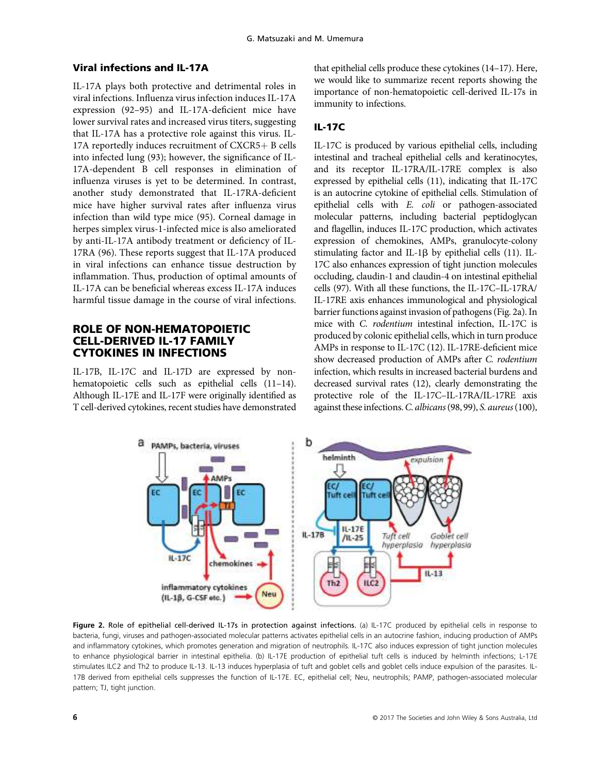# Viral infections and IL-17A

IL-17A plays both protective and detrimental roles in viral infections. Influenza virus infection induces IL-17A expression (92–95) and IL-17A-deficient mice have lower survival rates and increased virus titers, suggesting that IL-17A has a protective role against this virus. IL-17A reportedly induces recruitment of  $CXCR5 + B$  cells into infected lung (93); however, the significance of IL-17A-dependent B cell responses in elimination of influenza viruses is yet to be determined. In contrast, another study demonstrated that IL-17RA-deficient mice have higher survival rates after influenza virus infection than wild type mice (95). Corneal damage in herpes simplex virus-1-infected mice is also ameliorated by anti-IL-17A antibody treatment or deficiency of IL-17RA (96). These reports suggest that IL-17A produced in viral infections can enhance tissue destruction by inflammation. Thus, production of optimal amounts of IL-17A can be beneficial whereas excess IL-17A induces harmful tissue damage in the course of viral infections.

# ROLE OF NON-HEMATOPOIETIC CELL-DERIVED IL-17 FAMILY CYTOKINES IN INFECTIONS

IL-17B, IL-17C and IL-17D are expressed by nonhematopoietic cells such as epithelial cells  $(11-14)$ . Although IL-17E and IL-17F were originally identified as T cell-derived cytokines, recent studies have demonstrated

that epithelial cells produce these cytokines (14–17). Here, we would like to summarize recent reports showing the importance of non-hematopoietic cell-derived IL-17s in immunity to infections.

## IL-17C

IL-17C is produced by various epithelial cells, including intestinal and tracheal epithelial cells and keratinocytes, and its receptor IL-17RA/IL-17RE complex is also expressed by epithelial cells (11), indicating that IL-17C is an autocrine cytokine of epithelial cells. Stimulation of epithelial cells with E. coli or pathogen-associated molecular patterns, including bacterial peptidoglycan and flagellin, induces IL-17C production, which activates expression of chemokines, AMPs, granulocyte-colony stimulating factor and IL-1 $\beta$  by epithelial cells (11). IL-17C also enhances expression of tight junction molecules occluding, claudin-1 and claudin-4 on intestinal epithelial cells (97). With all these functions, the IL-17C–IL-17RA/ IL-17RE axis enhances immunological and physiological barrier functions against invasion of pathogens (Fig. 2a). In mice with C. rodentium intestinal infection, IL-17C is produced by colonic epithelial cells, which in turn produce AMPs in response to IL-17C (12). IL-17RE-deficient mice show decreased production of AMPs after C. rodentium infection, which results in increased bacterial burdens and decreased survival rates (12), clearly demonstrating the protective role of the IL-17C–IL-17RA/IL-17RE axis against these infections.C. albicans(98, 99), S. aureus(100),



Figure 2. Role of epithelial cell-derived IL-17s in protection against infections. (a) IL-17C produced by epithelial cells in response to bacteria, fungi, viruses and pathogen-associated molecular patterns activates epithelial cells in an autocrine fashion, inducing production of AMPs and inflammatory cytokines, which promotes generation and migration of neutrophils. IL-17C also induces expression of tight junction molecules to enhance physiological barrier in intestinal epithelia. (b) IL-17E production of epithelial tuft cells is induced by helminth infections; L-17E stimulates ILC2 and Th2 to produce IL-13. IL-13 induces hyperplasia of tuft and goblet cells and goblet cells induce expulsion of the parasites. IL-17B derived from epithelial cells suppresses the function of IL-17E. EC, epithelial cell; Neu, neutrophils; PAMP, pathogen-associated molecular pattern; TJ, tight junction.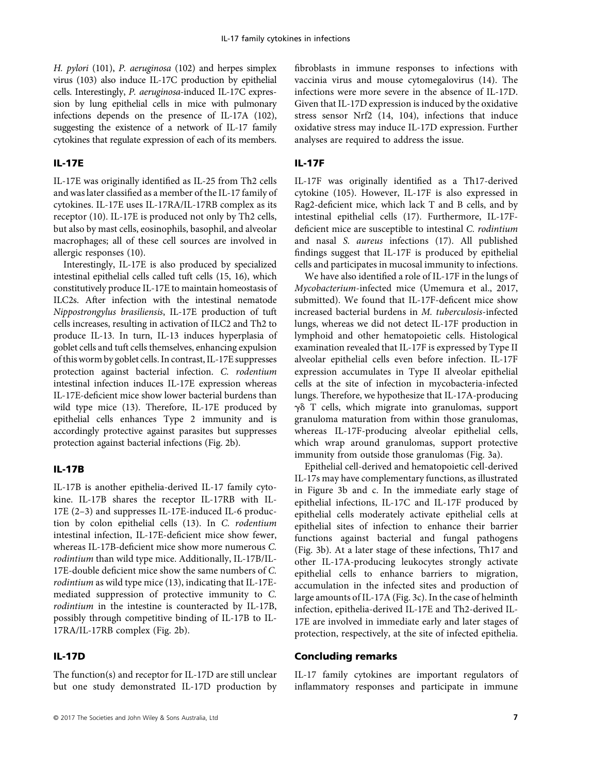H. pylori (101), P. aeruginosa (102) and herpes simplex virus (103) also induce IL-17C production by epithelial cells. Interestingly, P. aeruginosa-induced IL-17C expression by lung epithelial cells in mice with pulmonary infections depends on the presence of IL-17A (102), suggesting the existence of a network of IL-17 family cytokines that regulate expression of each of its members.

#### IL-17E

IL-17E was originally identified as IL-25 from Th2 cells and was later classified as a member of the IL-17 family of cytokines. IL-17E uses IL-17RA/IL-17RB complex as its receptor (10). IL-17E is produced not only by Th2 cells, but also by mast cells, eosinophils, basophil, and alveolar macrophages; all of these cell sources are involved in allergic responses (10).

Interestingly, IL-17E is also produced by specialized intestinal epithelial cells called tuft cells (15, 16), which constitutively produce IL-17E to maintain homeostasis of ILC2s. After infection with the intestinal nematode Nippostrongylus brasiliensis, IL-17E production of tuft cells increases, resulting in activation of ILC2 and Th2 to produce IL-13. In turn, IL-13 induces hyperplasia of goblet cells and tuft cells themselves, enhancing expulsion of this worm by goblet cells. In contrast, IL-17E suppresses protection against bacterial infection. C. rodentium intestinal infection induces IL-17E expression whereas IL-17E-deficient mice show lower bacterial burdens than wild type mice (13). Therefore, IL-17E produced by epithelial cells enhances Type 2 immunity and is accordingly protective against parasites but suppresses protection against bacterial infections (Fig. 2b).

## IL-17B

IL-17B is another epithelia-derived IL-17 family cytokine. IL-17B shares the receptor IL-17RB with IL-17E (2–3) and suppresses IL-17E-induced IL-6 production by colon epithelial cells (13). In C. rodentium intestinal infection, IL-17E-deficient mice show fewer, whereas IL-17B-deficient mice show more numerous C. rodintium than wild type mice. Additionally, IL-17B/IL-17E-double deficient mice show the same numbers of C. rodintium as wild type mice (13), indicating that IL-17Emediated suppression of protective immunity to C. rodintium in the intestine is counteracted by IL-17B, possibly through competitive binding of IL-17B to IL-17RA/IL-17RB complex (Fig. 2b).

# IL-17D

The function(s) and receptor for IL-17D are still unclear but one study demonstrated IL-17D production by

fibroblasts in immune responses to infections with vaccinia virus and mouse cytomegalovirus (14). The infections were more severe in the absence of IL-17D. Given that IL-17D expression is induced by the oxidative stress sensor Nrf2 (14, 104), infections that induce oxidative stress may induce IL-17D expression. Further analyses are required to address the issue.

#### IL-17F

IL-17F was originally identified as a Th17-derived cytokine (105). However, IL-17F is also expressed in Rag2-deficient mice, which lack T and B cells, and by intestinal epithelial cells (17). Furthermore, IL-17Fdeficient mice are susceptible to intestinal C. rodintium and nasal S. aureus infections (17). All published findings suggest that IL-17F is produced by epithelial cells and participates in mucosal immunity to infections.

We have also identified a role of IL-17F in the lungs of Mycobacterium-infected mice (Umemura et al., 2017, submitted). We found that IL-17F-deficent mice show increased bacterial burdens in M. tuberculosis-infected lungs, whereas we did not detect IL-17F production in lymphoid and other hematopoietic cells. Histological examination revealed that IL-17F is expressed by Type II alveolar epithelial cells even before infection. IL-17F expression accumulates in Type II alveolar epithelial cells at the site of infection in mycobacteria-infected lungs. Therefore, we hypothesize that IL-17A-producing  $\gamma\delta$  T cells, which migrate into granulomas, support granuloma maturation from within those granulomas, whereas IL-17F-producing alveolar epithelial cells, which wrap around granulomas, support protective immunity from outside those granulomas (Fig. 3a).

Epithelial cell-derived and hematopoietic cell-derived IL-17s may have complementary functions, as illustrated in Figure 3b and c. In the immediate early stage of epithelial infections, IL-17C and IL-17F produced by epithelial cells moderately activate epithelial cells at epithelial sites of infection to enhance their barrier functions against bacterial and fungal pathogens (Fig. 3b). At a later stage of these infections, Th17 and other IL-17A-producing leukocytes strongly activate epithelial cells to enhance barriers to migration, accumulation in the infected sites and production of large amounts of IL-17A (Fig. 3c). In the case of helminth infection, epithelia-derived IL-17E and Th2-derived IL-17E are involved in immediate early and later stages of protection, respectively, at the site of infected epithelia.

# Concluding remarks

IL-17 family cytokines are important regulators of inflammatory responses and participate in immune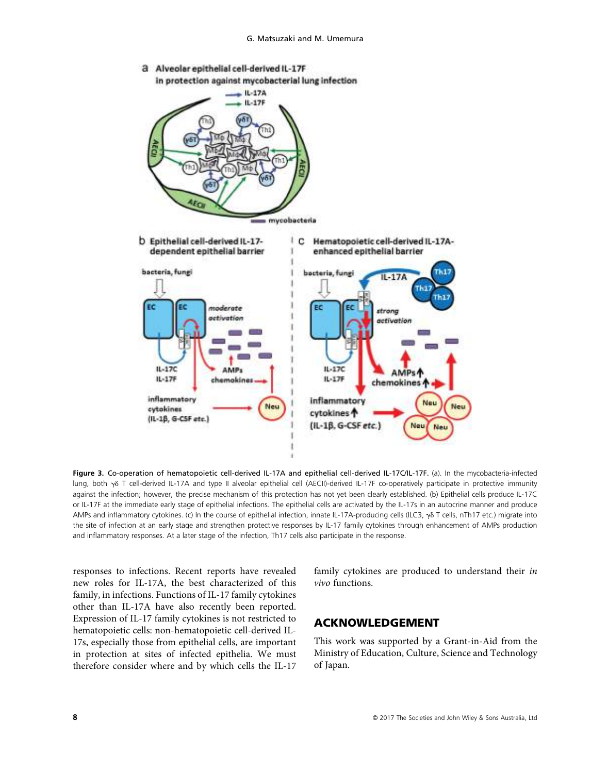

Figure 3. Co-operation of hematopoietic cell-derived IL-17A and epithelial cell-derived IL-17C/IL-17F. (a). In the mycobacteria-infected lung, both y<sub>8</sub> T cell-derived IL-17A and type II alveolar epithelial cell (AECII)-derived IL-17F co-operatively participate in protective immunity against the infection; however, the precise mechanism of this protection has not yet been clearly established. (b) Epithelial cells produce IL-17C or IL-17F at the immediate early stage of epithelial infections. The epithelial cells are activated by the IL-17s in an autocrine manner and produce AMPs and inflammatory cytokines. (c) In the course of epithelial infection, innate IL-17A-producing cells (ILC3,  $\gamma\delta$  T cells, nTh17 etc.) migrate into the site of infection at an early stage and strengthen protective responses by IL-17 family cytokines through enhancement of AMPs production and inflammatory responses. At a later stage of the infection, Th17 cells also participate in the response.

responses to infections. Recent reports have revealed new roles for IL-17A, the best characterized of this family, in infections. Functions of IL-17 family cytokines other than IL-17A have also recently been reported. Expression of IL-17 family cytokines is not restricted to hematopoietic cells: non-hematopoietic cell-derived IL-17s, especially those from epithelial cells, are important in protection at sites of infected epithelia. We must therefore consider where and by which cells the IL-17

family cytokines are produced to understand their in vivo functions.

# ACKNOWLEDGEMENT

This work was supported by a Grant-in-Aid from the Ministry of Education, Culture, Science and Technology of Japan.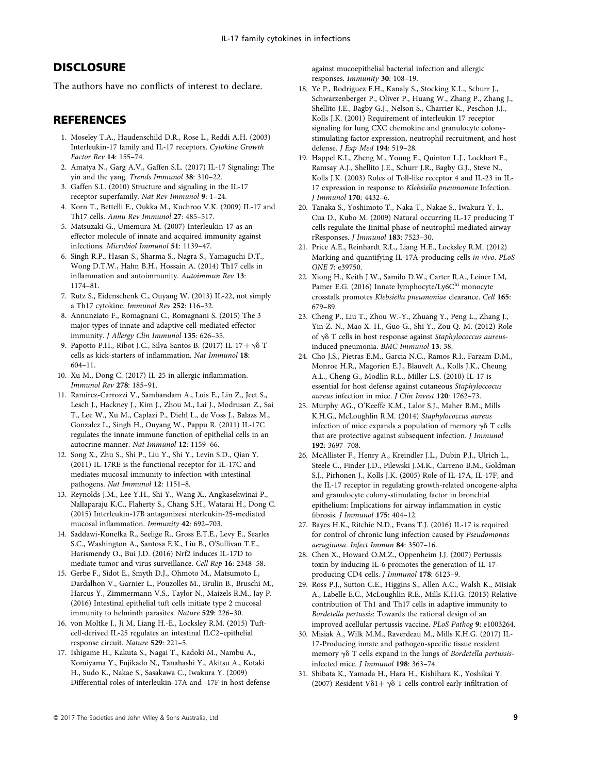# **DISCLOSURE**

The authors have no conflicts of interest to declare.

## **REFERENCES**

- 1. Moseley T.A., Haudenschild D.R., Rose L., Reddi A.H. (2003) Interleukin-17 family and IL-17 receptors. Cytokine Growth Factor Rev 14: 155–74.
- 2. Amatya N., Garg A.V., Gaffen S.L. (2017) IL-17 Signaling: The yin and the yang. Trends Immunol 38: 310–22.
- 3. Gaffen S.L. (2010) Structure and signaling in the IL-17 receptor superfamily. Nat Rev Immunol 9: 1–24.
- 4. Korn T., Bettelli E., Oukka M., Kuchroo V.K. (2009) IL-17 and Th17 cells. Annu Rev Immunol 27: 485–517.
- 5. Matsuzaki G., Umemura M. (2007) Interleukin-17 as an effector molecule of innate and acquired immunity against infections. Microbiol Immunol 51: 1139–47.
- 6. Singh R.P., Hasan S., Sharma S., Nagra S., Yamaguchi D.T., Wong D.T.W., Hahn B.H., Hossain A. (2014) Th17 cells in inflammation and autoimmunity. Autoimmun Rev 13: 1174–81.
- 7. Rutz S., Eidenschenk C., Ouyang W. (2013) IL-22, not simply a Th17 cytokine. Immunol Rev 252: 116–32.
- 8. Annunziato F., Romagnani C., Romagnani S. (2015) The 3 major types of innate and adaptive cell-mediated effector immunity. J Allergy Clin Immunol 135: 626–35.
- 9. Papotto P.H., Ribot J.C., Silva-Santos B. (2017) IL-17 +  $\gamma\delta$  T cells as kick-starters of inflammation. Nat Immunol 18: 604–11.
- 10. Xu M., Dong C. (2017) IL-25 in allergic inflammation. Immunol Rev 278: 185–91.
- 11. Ramirez-Carrozzi V., Sambandam A., Luis E., Lin Z., Jeet S., Lesch J., Hackney J., Kim J., Zhou M., Lai J., Modrusan Z., Sai T., Lee W., Xu M., Caplazi P., Diehl L., de Voss J., Balazs M., Gonzalez L., Singh H., Ouyang W., Pappu R. (2011) IL-17C regulates the innate immune function of epithelial cells in an autocrine manner. Nat Immunol 12: 1159–66.
- 12. Song X., Zhu S., Shi P., Liu Y., Shi Y., Levin S.D., Qian Y. (2011) IL-17RE is the functional receptor for IL-17C and mediates mucosal immunity to infection with intestinal pathogens. Nat Immunol 12: 1151–8.
- 13. Reynolds J.M., Lee Y.H., Shi Y., Wang X., Angkasekwinai P., Nallaparaju K.C., Flaherty S., Chang S.H., Watarai H., Dong C. (2015) Interleukin-17B antagonizesi nterleukin-25-mediated mucosal inflammation. Immunity 42: 692–703.
- 14. Saddawi-Konefka R., Seelige R., Gross E.T.E., Levy E., Searles S.C., Washington A., Santosa E.K., Liu B., O'Sullivan T.E., Harismendy O., Bui J.D. (2016) Nrf2 induces IL-17D to mediate tumor and virus surveillance. Cell Rep 16: 2348–58.
- 15. Gerbe F., Sidot E., Smyth D.J., Ohmoto M., Matsumoto I., Dardalhon V., Garnier L., Pouzolles M., Brulin B., Bruschi M., Harcus Y., Zimmermann V.S., Taylor N., Maizels R.M., Jay P. (2016) Intestinal epithelial tuft cells initiate type 2 mucosal immunity to helminth parasites. Nature 529: 226–30.
- 16. von Moltke J., Ji M, Liang H.-E., Locksley R.M. (2015) Tuftcell-derived IL-25 regulates an intestinal ILC2–epithelial response circuit. Nature 529: 221–5.
- 17. Ishigame H., Kakuta S., Nagai T., Kadoki M., Nambu A., Komiyama Y., Fujikado N., Tanahashi Y., Akitsu A., Kotaki H., Sudo K., Nakae S., Sasakawa C., Iwakura Y. (2009) Differential roles of interleukin-17A and -17F in host defense

against mucoepithelial bacterial infection and allergic responses. Immunity 30: 108–19.

- 18. Ye P., Rodriguez F.H., Kanaly S., Stocking K.L., Schurr J., Schwarzenberger P., Oliver P., Huang W., Zhang P., Zhang J., Shellito J.E., Bagby G.J., Nelson S., Charrier K., Peschon J.J., Kolls J.K. (2001) Requirement of interleukin 17 receptor signaling for lung CXC chemokine and granulocyte colonystimulating factor expression, neutrophil recruitment, and host defense. J Exp Med 194: 519–28.
- 19. Happel K.I., Zheng M., Young E., Quinton L.J., Lockhart E., Ramsay A.J., Shellito J.E., Schurr J.R., Bagby G.J., Steve N., Kolls J.K. (2003) Roles of Toll-like receptor 4 and IL-23 in IL-17 expression in response to Klebsiella pneumoniae Infection. J Immunol 170: 4432–6.
- 20. Tanaka S., Yoshimoto T., Naka T., Nakae S., Iwakura Y.-I., Cua D., Kubo M. (2009) Natural occurring IL-17 producing T cells regulate the Iinitial phase of neutrophil mediated airway rResponses. J Immunol 183: 7523–30.
- 21. Price A.E., Reinhardt R.L., Liang H.E., Locksley R.M. (2012) Marking and quantifying IL-17A-producing cells in vivo. PLoS ONE 7: e39750.
- 22. Xiong H., Keith J.W., Samilo D.W., Carter R.A., Leiner I.M, Pamer E.G. (2016) Innate lymphocyte/Ly6C<sup>hi</sup> monocyte crosstalk promotes Klebsiella pneumoniae clearance. Cell 165: 679–89.
- 23. Cheng P., Liu T., Zhou W.-Y., Zhuang Y., Peng L., Zhang J., Yin Z.-N., Mao X.-H., Guo G., Shi Y., Zou Q.-M. (2012) Role of  $\gamma\delta$  T cells in host response against Staphylococcus aureusinduced pneumonia. BMC Immunol 13: 38.
- 24. Cho J.S., Pietras E.M., Garcia N.C., Ramos R.I., Farzam D.M., Monroe H.R., Magorien E.J., Blauvelt A., Kolls J.K., Cheung A.L., Cheng G., Modlin R.L., Miller L.S. (2010) IL-17 is essential for host defense against cutaneous Staphyloccocus aureus infection in mice. J Clin Invest 120: 1762–73.
- 25. Murphy AG., O'Keeffe K.M., Lalor S.J., Maher B.M., Mills K.H.G., McLoughlin R.M. (2014) Staphylococcus aureus infection of mice expands a population of memory  $\gamma \delta$  T cells that are protective against subsequent infection. J Immunol 192: 3697–708.
- 26. McAllister F., Henry A., Kreindler J.L., Dubin P.J., Ulrich L., Steele C., Finder J.D., Pilewski J.M.K., Carreno B.M., Goldman S.J., Pirhonen J., Kolls J.K. (2005) Role of IL-17A, IL-17F, and the IL-17 receptor in regulating growth-related oncogene-alpha and granulocyte colony-stimulating factor in bronchial epithelium: Implications for airway inflammation in cystic fibrosis. J Immunol 175: 404–12.
- 27. Bayes H.K., Ritchie N.D., Evans T.J. (2016) IL-17 is required for control of chronic lung infection caused by Pseudomonas aeruginosa. Infect Immun 84: 3507–16.
- 28. Chen X., Howard O.M.Z., Oppenheim J.J. (2007) Pertussis toxin by inducing IL-6 promotes the generation of IL-17 producing CD4 cells. J Immunol 178: 6123–9.
- 29. Ross P.J., Sutton C.E., Higgins S., Allen A.C., Walsh K., Misiak A., Labelle E.C., McLoughlin R.E., Mills K.H.G. (2013) Relative contribution of Th1 and Th17 cells in adaptive immunity to Bordetella pertussis: Towards the rational design of an improved acellular pertussis vaccine. PLoS Pathog 9: e1003264.
- 30. Misiak A., Wilk M.M., Raverdeau M., Mills K.H.G. (2017) IL-17-Producing innate and pathogen-specific tissue resident memory  $\gamma \delta$  T cells expand in the lungs of Bordetella pertussisinfected mice. J Immunol 198: 363–74.
- 31. Shibata K., Yamada H., Hara H., Kishihara K., Yoshikai Y. (2007) Resident V $\delta$ 1 +  $\gamma$  $\delta$  T cells control early infiltration of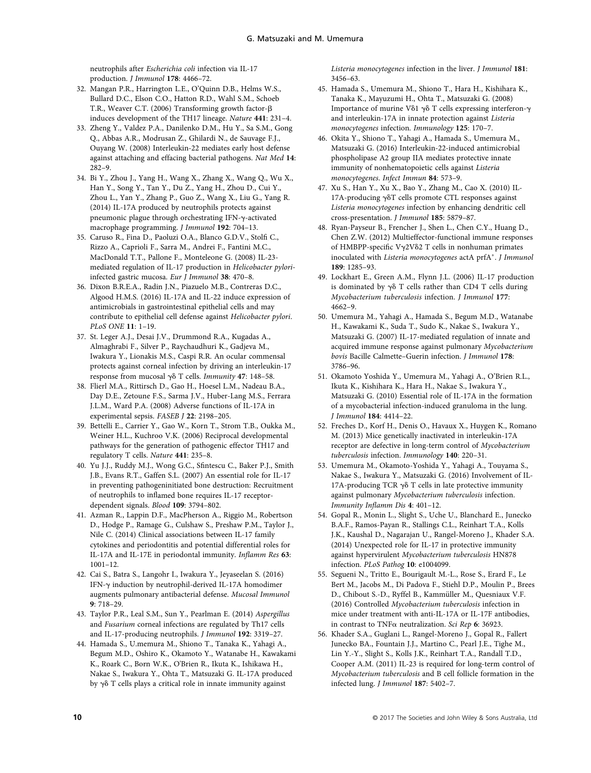neutrophils after Escherichia coli infection via IL-17 production. J Immunol 178: 4466–72.

- 32. Mangan P.R., Harrington L.E., O'Quinn D.B., Helms W.S., Bullard D.C., Elson C.O., Hatton R.D., Wahl S.M., Schoeb T.R., Weaver C.T. (2006) Transforming growth factor-b induces development of the TH17 lineage. Nature 441: 231–4.
- 33. Zheng Y., Valdez P.A., Danilenko D.M., Hu Y., Sa S.M., Gong Q., Abbas A.R., Modrusan Z., Ghilardi N., de Sauvage F.J., Ouyang W. (2008) Interleukin-22 mediates early host defense against attaching and effacing bacterial pathogens. Nat Med 14: 282–9.
- 34. Bi Y., Zhou J., Yang H., Wang X., Zhang X., Wang Q., Wu X., Han Y., Song Y., Tan Y., Du Z., Yang H., Zhou D., Cui Y., Zhou L., Yan Y., Zhang P., Guo Z., Wang X., Liu G., Yang R. (2014) IL-17A produced by neutrophils protects against pneumonic plague through orchestrating IFN-g-activated macrophage programming. J Immunol 192: 704–13.
- 35. Caruso R., Fina D., Paoluzi O.A., Blanco G.D.V., Stolfi C., Rizzo A., Caprioli F., Sarra M., Andrei F., Fantini M.C., MacDonald T.T., Pallone F., Monteleone G. (2008) IL-23 mediated regulation of IL-17 production in Helicobacter pyloriinfected gastric mucosa. Eur J Immunol 38: 470–8.
- 36. Dixon B.R.E.A., Radin J.N., Piazuelo M.B., Contreras D.C., Algood H.M.S. (2016) IL-17A and IL-22 induce expression of antimicrobials in gastrointestinal epithelial cells and may contribute to epithelial cell defense against Helicobacter pylori. PLoS ONE 11: 1–19.
- 37. St. Leger A.J., Desai J.V., Drummond R.A., Kugadas A., Almaghrabi F., Silver P., Raychaudhuri K., Gadjeva M., Iwakura Y., Lionakis M.S., Caspi R.R. An ocular commensal protects against corneal infection by driving an interleukin-17 response from mucosal  $\gamma\delta$  T cells. Immunity 47: 148-58.
- 38. Flierl M.A., Rittirsch D., Gao H., Hoesel L.M., Nadeau B.A., Day D.E., Zetoune F.S., Sarma J.V., Huber-Lang M.S., Ferrara J.L.M., Ward P.A. (2008) Adverse functions of IL-17A in experimental sepsis. FASEB J 22: 2198–205.
- 39. Bettelli E., Carrier Y., Gao W., Korn T., Strom T.B., Oukka M., Weiner H.L., Kuchroo V.K. (2006) Reciprocal developmental pathways for the generation of pathogenic effector TH17 and regulatory T cells. Nature 441: 235–8.
- 40. Yu J.J., Ruddy M.J., Wong G.C., Sfintescu C., Baker P.J., Smith J.B., Evans R.T., Gaffen S.L. (2007) An essential role for IL-17 in preventing pathogeninitiated bone destruction: Recruitment of neutrophils to inflamed bone requires IL-17 receptordependent signals. Blood 109: 3794–802.
- 41. Azman R., Lappin D.F., MacPherson A., Riggio M., Robertson D., Hodge P., Ramage G., Culshaw S., Preshaw P.M., Taylor J., Nile C. (2014) Clinical associations between IL-17 family cytokines and periodontitis and potential differential roles for IL-17A and IL-17E in periodontal immunity. Inflamm Res 63: 1001–12.
- 42. Cai S., Batra S., Langohr I., Iwakura Y., Jeyaseelan S. (2016) IFN-g induction by neutrophil-derived IL-17A homodimer augments pulmonary antibacterial defense. Mucosal Immunol 9: 718–29.
- 43. Taylor P.R., Leal S.M., Sun Y., Pearlman E. (2014) Aspergillus and Fusarium corneal infections are regulated by Th17 cells and IL-17-producing neutrophils. J Immunol 192: 3319–27.
- 44. Hamada S., U.memura M., Shiono T., Tanaka K., Yahagi A., Begum M.D., Oshiro K., Okamoto Y., Watanabe H., Kawakami K., Roark C., Born W.K., O'Brien R., Ikuta K., Ishikawa H., Nakae S., Iwakura Y., Ohta T., Matsuzaki G. IL-17A produced by  $\gamma\delta$  T cells plays a critical role in innate immunity against

Listeria monocytogenes infection in the liver. J Immunol 181: 3456–63.

- 45. Hamada S., Umemura M., Shiono T., Hara H., Kishihara K., Tanaka K., Mayuzumi H., Ohta T., Matsuzaki G. (2008) Importance of murine V $\delta$ 1  $\gamma$  $\delta$  T cells expressing interferon- $\gamma$ and interleukin-17A in innate protection against Listeria monocytogenes infection. Immunology 125: 170–7.
- 46. Okita Y., Shiono T., Yahagi A., Hamada S., Umemura M., Matsuzaki G. (2016) Interleukin-22-induced antimicrobial phospholipase A2 group IIA mediates protective innate immunity of nonhematopoietic cells against Listeria monocytogenes. Infect Immun 84: 573–9.
- 47. Xu S., Han Y., Xu X., Bao Y., Zhang M., Cao X. (2010) IL-17A-producing  $\gamma$ <sup>8T</sup> cells promote CTL responses against Listeria monocytogenes infection by enhancing dendritic cell cross-presentation. J Immunol 185: 5879–87.
- 48. Ryan-Payseur B., Frencher J., Shen L., Chen C.Y., Huang D., Chen Z.W. (2012) Multieffector-functional immune responses of HMBPP-specific V $\gamma$ 2V $\delta$ 2 T cells in nonhuman primates inoculated with Listeria monocytogenes actA prfA\*. J Immunol 189: 1285–93.
- 49. Lockhart E., Green A.M., Flynn J.L. (2006) IL-17 production is dominated by  $\gamma\delta$  T cells rather than CD4 T cells during Mycobacterium tuberculosis infection. J Immunol 177: 4662–9.
- 50. Umemura M., Yahagi A., Hamada S., Begum M.D., Watanabe H., Kawakami K., Suda T., Sudo K., Nakae S., Iwakura Y., Matsuzaki G. (2007) IL-17-mediated regulation of innate and acquired immune response against pulmonary Mycobacterium bovis Bacille Calmette–Guerin infection. J Immunol 178: 3786–96.
- 51. Okamoto Yoshida Y., Umemura M., Yahagi A., O'Brien R.L., Ikuta K., Kishihara K., Hara H., Nakae S., Iwakura Y., Matsuzaki G. (2010) Essential role of IL-17A in the formation of a mycobacterial infection-induced granuloma in the lung. J Immunol 184: 4414–22.
- 52. Freches D., Korf H., Denis O., Havaux X., Huygen K., Romano M. (2013) Mice genetically inactivated in interleukin-17A receptor are defective in long-term control of Mycobacterium tuberculosis infection. Immunology 140: 220–31.
- 53. Umemura M., Okamoto-Yoshida Y., Yahagi A., Touyama S., Nakae S., Iwakura Y., Matsuzaki G. (2016) Involvement of IL-17A-producing TCR  $\gamma\delta$  T cells in late protective immunity against pulmonary Mycobacterium tuberculosis infection. Immunity Inflamm Dis 4: 401–12.
- 54. Gopal R., Monin L., Slight S., Uche U., Blanchard E., Junecko B.A.F., Ramos-Payan R., Stallings C.L., Reinhart T.A., Kolls J.K., Kaushal D., Nagarajan U., Rangel-Moreno J., Khader S.A. (2014) Unexpected role for IL-17 in protective immunity against hypervirulent Mycobacterium tuberculosis HN878 infection. PLoS Pathog 10: e1004099.
- 55. Segueni N., Tritto E., Bourigault M.-L., Rose S., Erard F., Le Bert M., Jacobs M., Di Padova F., Stiehl D.P., Moulin P., Brees D., Chibout S.-D., Ryffel B., Kammüller M., Quesniaux V.F. (2016) Controlled Mycobacterium tuberculosis infection in mice under treatment with anti-IL-17A or IL-17F antibodies, in contrast to TNF $\alpha$  neutralization. Sci Rep 6: 36923.
- 56. Khader S.A., Guglani L., Rangel-Moreno J., Gopal R., Fallert Junecko BA., Fountain J.J., Martino C., Pearl J.E., Tighe M., Lin Y.-Y., Slight S., Kolls J.K., Reinhart T.A., Randall T.D., Cooper A.M. (2011) IL-23 is required for long-term control of Mycobacterium tuberculosis and B cell follicle formation in the infected lung. J Immunol 187: 5402–7.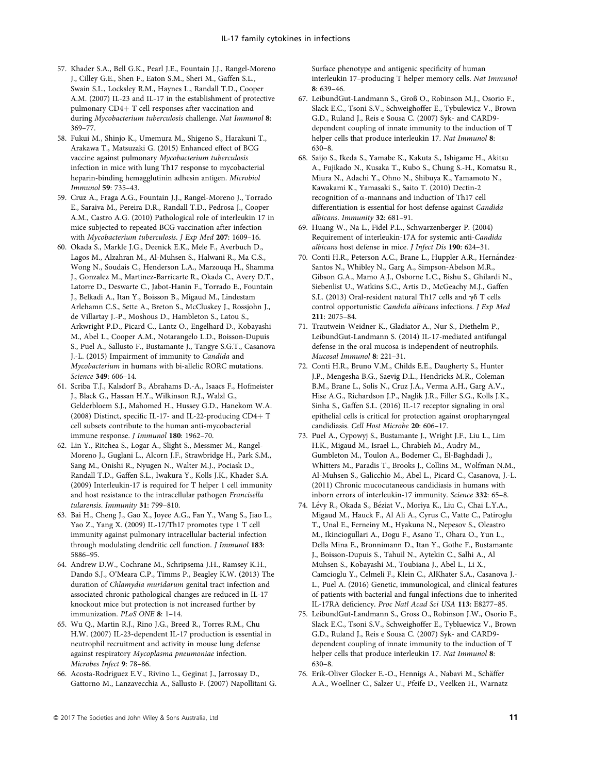- 57. Khader S.A., Bell G.K., Pearl J.E., Fountain J.J., Rangel-Moreno J., Cilley G.E., Shen F., Eaton S.M., Sheri M., Gaffen S.L., Swain S.L., Locksley R.M., Haynes L., Randall T.D., Cooper A.M. (2007) IL-23 and IL-17 in the establishment of protective pulmonary CD4+ T cell responses after vaccination and during Mycobacterium tuberculosis challenge. Nat Immunol 8: 369–77.
- 58. Fukui M., Shinjo K., Umemura M., Shigeno S., Harakuni T., Arakawa T., Matsuzaki G. (2015) Enhanced effect of BCG vaccine against pulmonary Mycobacterium tuberculosis infection in mice with lung Th17 response to mycobacterial heparin-binding hemagglutinin adhesin antigen. Microbiol Immunol 59: 735–43.
- 59. Cruz A., Fraga A.G., Fountain J.J., Rangel-Moreno J., Torrado E., Saraiva M., Pereira D.R., Randall T.D., Pedrosa J., Cooper A.M., Castro A.G. (2010) Pathological role of interleukin 17 in mice subjected to repeated BCG vaccination after infection with Mycobacterium tuberculosis. J Exp Med 207: 1609–16.
- 60. Okada S., Markle J.G., Deenick E.K., Mele F., Averbuch D., Lagos M., Alzahran M., Al-Muhsen S., Halwani R., Ma C.S., Wong N., Soudais C., Henderson L.A., Marzouqa H., Shamma J., Gonzalez M., Martinez-Barricarte R., Okada C., Avery D.T., Latorre D., Deswarte C., Jabot-Hanin F., Torrado E., Fountain J., Belkadi A., Itan Y., Boisson B., Migaud M., Lindestam Arlehamn C.S., Sette A., Breton S., McCluskey J., Rossjohn J., de Villartay J.-P., Moshous D., Hambleton S., Latou S., Arkwright P.D., Picard C., Lantz O., Engelhard D., Kobayashi M., Abel L., Cooper A.M., Notarangelo L.D., Boisson-Dupuis S., Puel A., Sallusto F., Bustamante J., Tangye S.G.T., Casanova J.-L. (2015) Impairment of immunity to Candida and Mycobacterium in humans with bi-allelic RORC mutations. Science 349: 606–14.
- 61. Scriba T.J., Kalsdorf B., Abrahams D.-A., Isaacs F., Hofmeister J., Black G., Hassan H.Y., Wilkinson R.J., Walzl G., Gelderbloem S.J., Mahomed H., Hussey G.D., Hanekom W.A. (2008) Distinct, specific IL-17- and IL-22-producing  $CD4+T$ cell subsets contribute to the human anti-mycobacterial immune response. J Immunol 180: 1962–70.
- 62. Lin Y., Ritchea S., Logar A., Slight S., Messmer M., Rangel-Moreno J., Guglani L., Alcorn J.F., Strawbridge H., Park S.M., Sang M., Onishi R., Nyugen N., Walter M.J., Pociask D., Randall T.D., Gaffen S.L., Iwakura Y., Kolls J.K., Khader S.A. (2009) Interleukin-17 is required for T helper 1 cell immunity and host resistance to the intracellular pathogen Francisella tularensis. Immunity 31: 799–810.
- 63. Bai H., Cheng J., Gao X., Joyee A.G., Fan Y., Wang S., Jiao L., Yao Z., Yang X. (2009) IL-17/Th17 promotes type 1 T cell immunity against pulmonary intracellular bacterial infection through modulating dendritic cell function. J Immunol 183: 5886–95.
- 64. Andrew D.W., Cochrane M., Schripsema J.H., Ramsey K.H., Dando S.J., O'Meara C.P., Timms P., Beagley K.W. (2013) The duration of Chlamydia muridarum genital tract infection and associated chronic pathological changes are reduced in IL-17 knockout mice but protection is not increased further by immunization. PLoS ONE 8: 1–14.
- 65. Wu Q., Martin R.J., Rino J.G., Breed R., Torres R.M., Chu H.W. (2007) IL-23-dependent IL-17 production is essential in neutrophil recruitment and activity in mouse lung defense against respiratory Mycoplasma pneumoniae infection. Microbes Infect 9: 78–86.
- 66. Acosta-Rodriguez E.V., Rivino L., Geginat J., Jarrossay D., Gattorno M., Lanzavecchia A., Sallusto F. (2007) Napollitani G.

Surface phenotype and antigenic specificity of human interleukin 17–producing T helper memory cells. Nat Immunol 8: 639–46.

- 67. LeibundGut-Landmann S., Groß O., Robinson M.J., Osorio F., Slack E.C., Tsoni S.V., Schweighoffer E., Tybulewicz V., Brown G.D., Ruland J., Reis e Sousa C. (2007) Syk- and CARD9 dependent coupling of innate immunity to the induction of T helper cells that produce interleukin 17. Nat Immunol 8: 630–8.
- 68. Saijo S., Ikeda S., Yamabe K., Kakuta S., Ishigame H., Akitsu A., Fujikado N., Kusaka T., Kubo S., Chung S.-H., Komatsu R., Miura N., Adachi Y., Ohno N., Shibuya K., Yamamoto N., Kawakami K., Yamasaki S., Saito T. (2010) Dectin-2 recognition of  $\alpha$ -mannans and induction of Th17 cell differentiation is essential for host defense against Candida albicans. Immunity 32: 681–91.
- 69. Huang W., Na L., Fidel P.L., Schwarzenberger P. (2004) Requirement of interleukin-17A for systemic anti-Candida albicans host defense in mice. J Infect Dis 190: 624–31.
- 70. Conti H.R., Peterson A.C., Brane L., Huppler A.R., Hernández-Santos N., Whibley N., Garg A., Simpson-Abelson M.R., Gibson G.A., Mamo A.J., Osborne L.C., Bishu S., Ghilardi N., Siebenlist U., Watkins S.C., Artis D., McGeachy M.J., Gaffen S.L. (2013) Oral-resident natural Th17 cells and  $\gamma \delta$  T cells control opportunistic Candida albicans infections. J Exp Med 211: 2075–84.
- 71. Trautwein-Weidner K., Gladiator A., Nur S., Diethelm P., LeibundGut-Landmann S. (2014) IL-17-mediated antifungal defense in the oral mucosa is independent of neutrophils. Mucosal Immunol 8: 221–31.
- 72. Conti H.R., Bruno V.M., Childs E.E., Daugherty S., Hunter J.P., Mengesha B.G., Saevig D.L., Hendricks M.R., Coleman B.M., Brane L., Solis N., Cruz J.A., Verma A.H., Garg A.V., Hise A.G., Richardson J.P., Naglik J.R., Filler S.G., Kolls J.K., Sinha S., Gaffen S.L. (2016) IL-17 receptor signaling in oral epithelial cells is critical for protection against oropharyngeal candidiasis. Cell Host Microbe 20: 606–17.
- 73. Puel A., Cypowyj S., Bustamante J., Wright J.F., Liu L., Lim H.K., Migaud M., Israel L., Chrabieh M., Audry M., Gumbleton M., Toulon A., Bodemer C., El-Baghdadi J., Whitters M., Paradis T., Brooks J., Collins M., Wolfman N.M., Al-Muhsen S., Galicchio M., Abel L., Picard C., Casanova, J.-L. (2011) Chronic mucocutaneous candidiasis in humans with inborn errors of interleukin-17 immunity. Science 332: 65–8.
- 74. Lévy R., Okada S., Béziat V., Moriya K., Liu C., Chai L.Y.A., Migaud M., Hauck F., Al Ali A., Cyrus C., Vatte C., Patiroglu T., Unal E., Ferneiny M., Hyakuna N., Nepesov S., Oleastro M., Ikinciogullari A., Dogu F., Asano T., Ohara O., Yun L., Della Mina E., Bronnimann D., Itan Y., Gothe F., Bustamante J., Boisson-Dupuis S., Tahuil N., Aytekin C., Salhi A., Al Muhsen S., Kobayashi M., Toubiana J., Abel L., Li X., Camcioglu Y., Celmeli F., Klein C., AlKhater S.A., Casanova J.- L., Puel A. (2016) Genetic, immunological, and clinical features of patients with bacterial and fungal infections due to inherited IL-17RA deficiency. Proc Natl Acad Sci USA 113: E8277–85.
- 75. LeibundGut-Landmann S., Gross O., Robinson J.W., Osorio F., Slack E.C., Tsoni S.V., Schweighoffer E., Tybluewicz V., Brown G.D., Ruland J., Reis e Sousa C. (2007) Syk- and CARD9 dependent coupling of innate immunity to the induction of T helper cells that produce interleukin 17. Nat Immunol 8: 630–8.
- 76. Erik-Oliver Glocker E.-O., Hennigs A., Nabavi M., Schäffer A.A., Woellner C., Salzer U., Pfeife D., Veelken H., Warnatz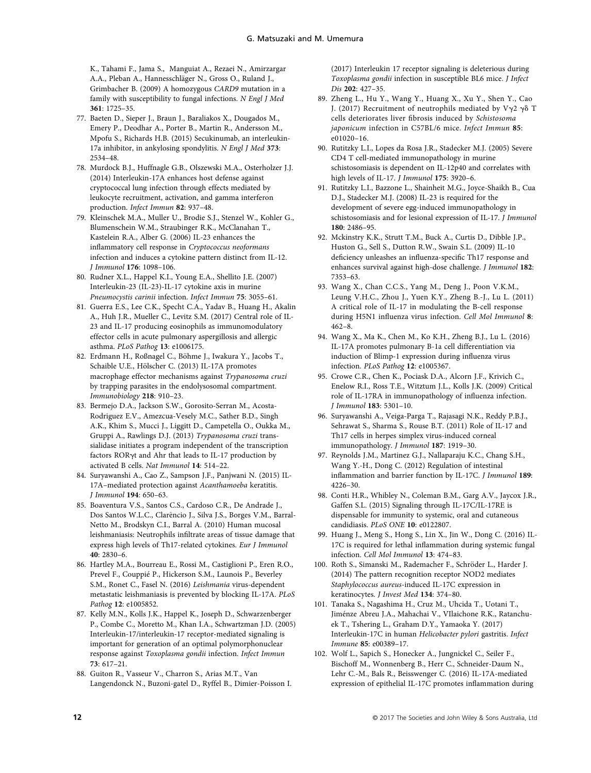K., Tahami F., Jama S., Manguiat A., Rezaei N., Amirzargar A.A., Pleban A., Hannesschläger N., Gross O., Ruland J., Grimbacher B. (2009) A homozygous CARD9 mutation in a family with susceptibility to fungal infections. N Engl J Med 361: 1725–35.

- 77. Baeten D., Sieper J., Braun J., Baraliakos X., Dougados M., Emery P., Deodhar A., Porter B., Martin R., Andersson M., Mpofu S., Richards H.B. (2015) Secukinumab, an interleukin-17a inhibitor, in ankylosing spondylitis. N Engl J Med 373: 2534–48.
- 78. Murdock B.J., Huffnagle G.B., Olszewski M.A., Osterholzer J.J. (2014) Interleukin-17A enhances host defense against cryptococcal lung infection through effects mediated by leukocyte recruitment, activation, and gamma interferon production. Infect Immun 82: 937–48.
- 79. Kleinschek M.A., Muller U., Brodie S.J., Stenzel W., Kohler G., Blumenschein W.M., Straubinger R.K., McClanahan T., Kastelein R.A., Alber G. (2006) IL-23 enhances the inflammatory cell response in Cryptococcus neoformans infection and induces a cytokine pattern distinct from IL-12. J Immunol 176: 1098–106.
- 80. Rudner X.L., Happel K.I., Young E.A., Shellito J.E. (2007) Interleukin-23 (IL-23)-IL-17 cytokine axis in murine Pneumocystis carinii infection. Infect Immun 75: 3055–61.
- 81. Guerra E.S., Lee C.K., Specht C.A., Yadav B., Huang H., Akalin A., Huh J.R., Mueller C., Levitz S.M. (2017) Central role of IL-23 and IL-17 producing eosinophils as immunomodulatory effector cells in acute pulmonary aspergillosis and allergic asthma. PLoS Pathog 13: e1006175.
- 82. Erdmann H., Roßnagel C., Böhme J., Iwakura Y., Jacobs T., Schaible U.E., Hölscher C. (2013) IL-17A promotes macrophage effector mechanisms against Trypanosoma cruzi by trapping parasites in the endolysosomal compartment. Immunobiology 218: 910–23.
- 83. Bermejo D.A., Jackson S.W., Gorosito-Serran M., Acosta-Rodriguez E.V., Amezcua-Vesely M.C., Sather B.D., Singh A.K., Khim S., Mucci J., Liggitt D., Campetella O., Oukka M., Gruppi A., Rawlings D.J. (2013) Trypanosoma cruzi transsialidase initiates a program independent of the transcription factors RORgt and Ahr that leads to IL-17 production by activated B cells. Nat Immunol 14: 514–22.
- 84. Suryawanshi A., Cao Z., Sampson J.F., Panjwani N. (2015) IL-17A–mediated protection against Acanthamoeba keratitis. J Immunol 194: 650–63.
- 85. Boaventura V.S., Santos C.S., Cardoso C.R., De Andrade J., Dos Santos W.L.C., Clar^encio J., Silva J.S., Borges V.M., Barral-Netto M., Brodskyn C.I., Barral A. (2010) Human mucosal leishmaniasis: Neutrophils infiltrate areas of tissue damage that express high levels of Th17-related cytokines. Eur J Immunol 40: 2830–6.
- 86. Hartley M.A., Bourreau E., Rossi M., Castiglioni P., Eren R.O., Prevel F., Couppié P., Hickerson S.M., Launois P., Beverley S.M., Ronet C., Fasel N. (2016) Leishmania virus-dependent metastatic leishmaniasis is prevented by blocking IL-17A. PLoS Pathog 12: e1005852.
- 87. Kelly M.N., Kolls J.K., Happel K., Joseph D., Schwarzenberger P., Combe C., Moretto M., Khan I.A., Schwartzman J.D. (2005) Interleukin-17/interleukin-17 receptor-mediated signaling is important for generation of an optimal polymorphonuclear response against Toxoplasma gondii infection. Infect Immun 73: 617–21.
- 88. Guiton R., Vasseur V., Charron S., Arias M.T., Van Langendonck N., Buzoni-gatel D., Ryffel B., Dimier-Poisson I.

(2017) Interleukin 17 receptor signaling is deleterious during Toxoplasma gondii infection in susceptible BL6 mice. J Infect Dis 202: 427–35.

- 89. Zheng L., Hu Y., Wang Y., Huang X., Xu Y., Shen Y., Cao J. (2017) Recruitment of neutrophils mediated by V $\nabla$ 2  $\nabla$  $\delta$  T cells deteriorates liver fibrosis induced by Schistosoma japonicum infection in C57BL/6 mice. Infect Immun 85: e01020–16.
- 90. Rutitzky L.I., Lopes da Rosa J.R., Stadecker M.J. (2005) Severe CD4 T cell-mediated immunopathology in murine schistosomiasis is dependent on IL-12p40 and correlates with high levels of IL-17. J Immunol 175: 3920–6.
- 91. Rutitzky L.I., Bazzone L., Shainheit M.G., Joyce-Shaikh B., Cua D.J., Stadecker M.J. (2008) IL-23 is required for the development of severe egg-induced immunopathology in schistosomiasis and for lesional expression of IL-17. J Immunol 180: 2486–95.
- 92. Mckinstry K.K., Strutt T.M., Buck A., Curtis D., Dibble J.P., Huston G., Sell S., Dutton R.W., Swain S.L. (2009) IL-10 deficiency unleashes an influenza-specific Th17 response and enhances survival against high-dose challenge. J Immunol 182: 7353–63.
- 93. Wang X., Chan C.C.S., Yang M., Deng J., Poon V.K.M., Leung V.H.C., Zhou J., Yuen K.Y., Zheng B.-J., Lu L. (2011) A critical role of IL-17 in modulating the B-cell response during H5N1 influenza virus infection. Cell Mol Immunol 8: 462–8.
- 94. Wang X., Ma K., Chen M., Ko K.H., Zheng B.J., Lu L. (2016) IL-17A promotes pulmonary B-1a cell differentiation via induction of Blimp-1 expression during influenza virus infection. PLoS Pathog 12: e1005367.
- 95. Crowe C.R., Chen K., Pociask D.A., Alcorn J.F., Krivich C., Enelow R.I., Ross T.E., Witztum J.L., Kolls J.K. (2009) Critical role of IL-17RA in immunopathology of influenza infection. J Immunol 183: 5301–10.
- 96. Suryawanshi A., Veiga-Parga T., Rajasagi N.K., Reddy P.B.J., Sehrawat S., Sharma S., Rouse B.T. (2011) Role of IL-17 and Th17 cells in herpes simplex virus-induced corneal immunopathology. J Immunol 187: 1919–30.
- 97. Reynolds J.M., Martinez G.J., Nallaparaju K.C., Chang S.H., Wang Y.-H., Dong C. (2012) Regulation of intestinal inflammation and barrier function by IL-17C. J Immunol 189: 4226–30.
- 98. Conti H.R., Whibley N., Coleman B.M., Garg A.V., Jaycox J.R., Gaffen S.L. (2015) Signaling through IL-17C/IL-17RE is dispensable for immunity to systemic, oral and cutaneous candidiasis. PLoS ONE 10: e0122807.
- 99. Huang J., Meng S., Hong S., Lin X., Jin W., Dong C. (2016) IL-17C is required for lethal inflammation during systemic fungal infection. Cell Mol Immunol 13: 474–83.
- 100. Roth S., Simanski M., Rademacher F., Schröder L., Harder J. (2014) The pattern recognition receptor NOD2 mediates Staphylococcus aureus-induced IL-17C expression in keratinocytes. J Invest Med 134: 374–80.
- 101. Tanaka S., Nagashima H., Cruz M., Uhcida T., Uotani T., Jiménze Abreu J.A., Mahachai V., VIlaichone R.K., Ratanchuek T., Tshering L., Graham D.Y., Yamaoka Y. (2017) Interleukin-17C in human Helicobacter pylori gastritis. Infect Immune 85: e00389–17.
- 102. Wolf L., Sapich S., Honecker A., Jungnickel C., Seiler F., Bischoff M., Wonnenberg B., Herr C., Schneider-Daum N., Lehr C.-M., Bals R., Beisswenger C. (2016) IL-17A-mediated expression of epithelial IL-17C promotes inflammation during